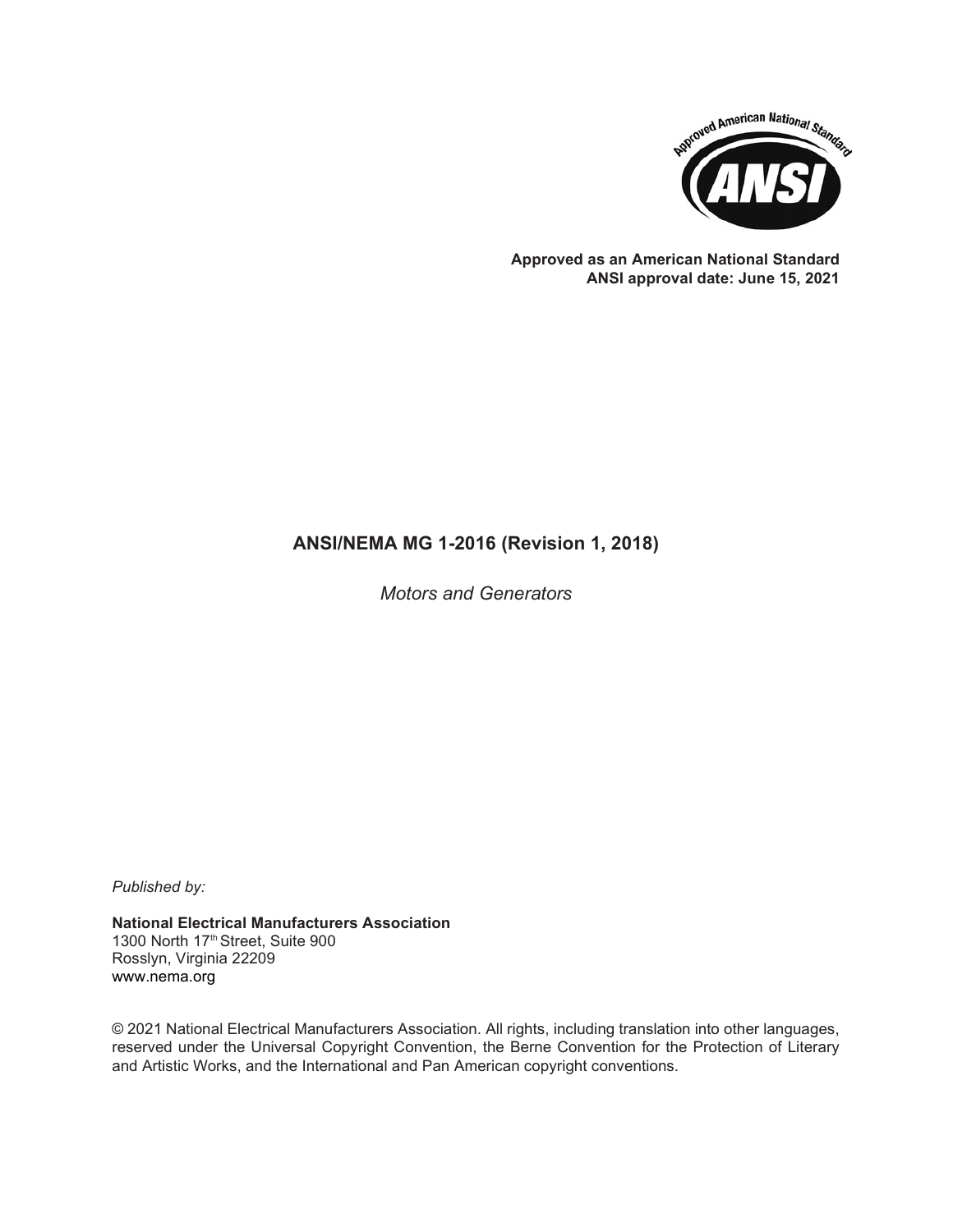

Approved as an American National Standard ANSI approval date: June 15, 2021

## ANSI/NEMA MG 1-2016 (Revision 1, 2018)

Motors and Generators

Published by:

National Electrical Manufacturers Association 1300 North 17<sup>th</sup> Street, Suite 900 Rosslyn, Virginia 22209 www.nema.org

© 2021 National Electrical Manufacturers Association. All rights, including translation into other languages, reserved under the Universal Copyright Convention, the Berne Convention for the Protection of Literary and Artistic Works, and the International and Pan American copyright conventions.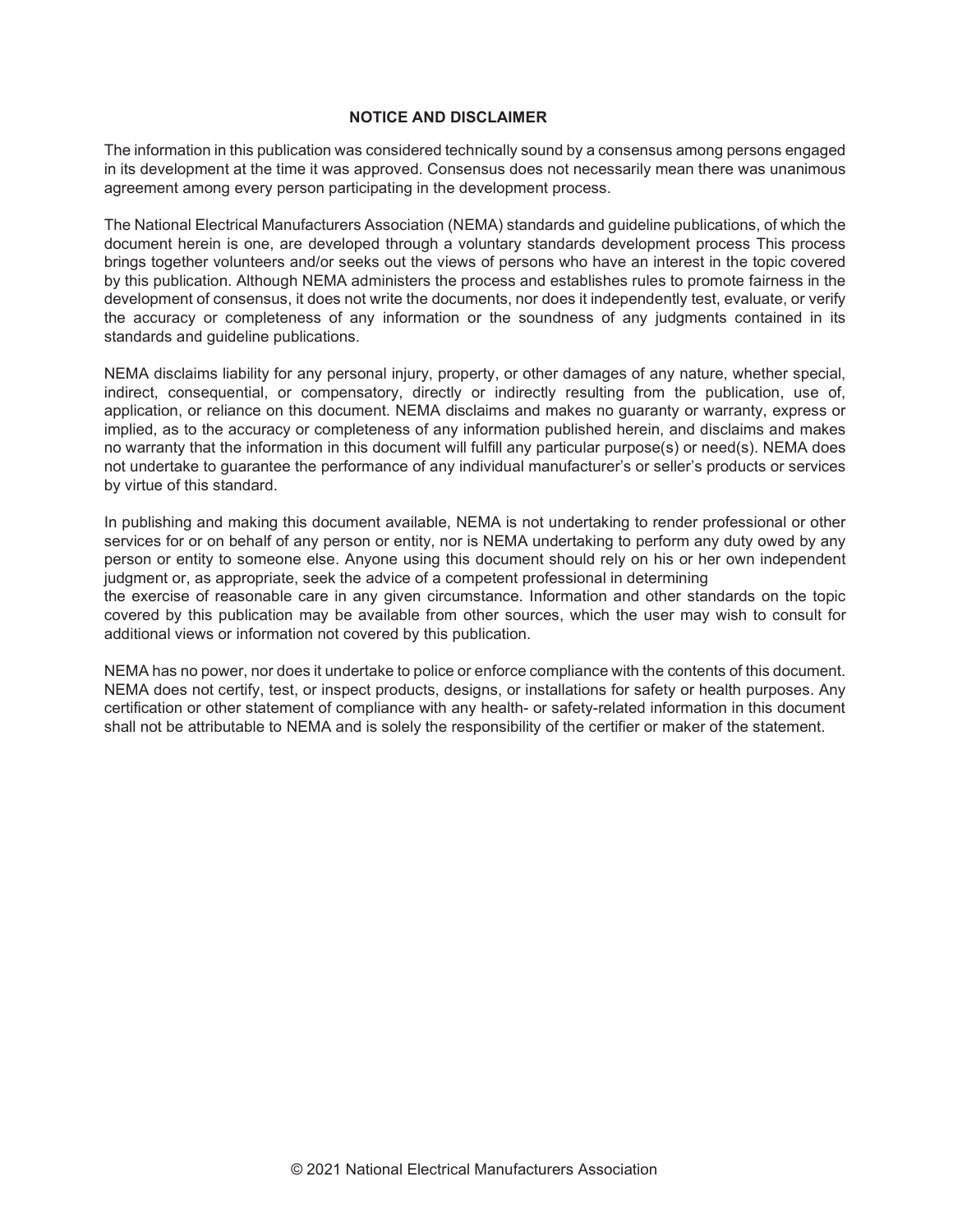## NOTICE AND DISCLAIMER

The information in this publication was considered technically sound by a consensus among persons engaged in its development at the time it was approved. Consensus does not necessarily mean there was unanimous agreement among every person participating in the development process.

The National Electrical Manufacturers Association (NEMA) standards and guideline publications, of which the document herein is one, are developed through a voluntary standards development process This process brings together volunteers and/or seeks out the views of persons who have an interest in the topic covered by this publication. Although NEMA administers the process and establishes rules to promote fairness in the development of consensus, it does not write the documents, nor does it independently test, evaluate, or verify the accuracy or completeness of any information or the soundness of any judgments contained in its standards and guideline publications.

NEMA disclaims liability for any personal injury, property, or other damages of any nature, whether special, indirect, consequential, or compensatory, directly or indirectly resulting from the publication, use of, application, or reliance on this document. NEMA disclaims and makes no guaranty or warranty, express or implied, as to the accuracy or completeness of any information published herein, and disclaims and makes no warranty that the information in this document will fulfill any particular purpose(s) or need(s). NEMA does not undertake to guarantee the performance of any individual manufacturer's or seller's products or services by virtue of this standard.

In publishing and making this document available, NEMA is not undertaking to render professional or other services for or on behalf of any person or entity, nor is NEMA undertaking to perform any duty owed by any person or entity to someone else. Anyone using this document should rely on his or her own independent judgment or, as appropriate, seek the advice of a competent professional in determining the exercise of reasonable care in any given circumstance. Information and other standards on the topic covered by this publication may be available from other sources, which the user may wish to consult for additional views or information not covered by this publication.

NEMA has no power, nor does it undertake to police or enforce compliance with the contents of this document. NEMA does not certify, test, or inspect products, designs, or installations for safety or health purposes. Any certification or other statement of compliance with any health- or safety-related information in this document shall not be attributable to NEMA and is solely the responsibility of the certifier or maker of the statement.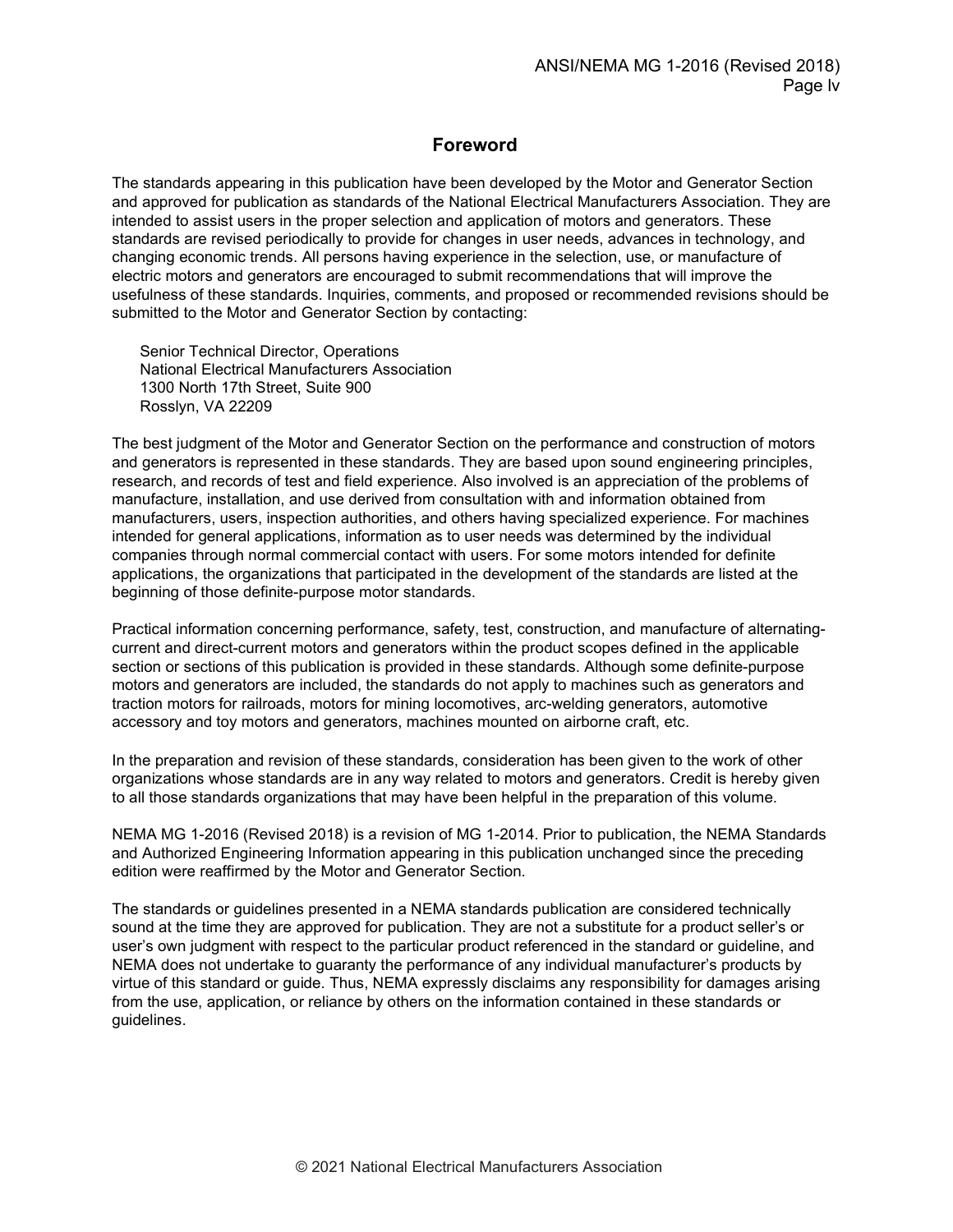## Foreword

The standards appearing in this publication have been developed by the Motor and Generator Section and approved for publication as standards of the National Electrical Manufacturers Association. They are intended to assist users in the proper selection and application of motors and generators. These standards are revised periodically to provide for changes in user needs, advances in technology, and changing economic trends. All persons having experience in the selection, use, or manufacture of electric motors and generators are encouraged to submit recommendations that will improve the usefulness of these standards. Inquiries, comments, and proposed or recommended revisions should be submitted to the Motor and Generator Section by contacting:

Senior Technical Director, Operations National Electrical Manufacturers Association 1300 North 17th Street, Suite 900 Rosslyn, VA 22209

The best judgment of the Motor and Generator Section on the performance and construction of motors and generators is represented in these standards. They are based upon sound engineering principles, research, and records of test and field experience. Also involved is an appreciation of the problems of manufacture, installation, and use derived from consultation with and information obtained from manufacturers, users, inspection authorities, and others having specialized experience. For machines intended for general applications, information as to user needs was determined by the individual companies through normal commercial contact with users. For some motors intended for definite applications, the organizations that participated in the development of the standards are listed at the beginning of those definite-purpose motor standards.

Practical information concerning performance, safety, test, construction, and manufacture of alternatingcurrent and direct-current motors and generators within the product scopes defined in the applicable section or sections of this publication is provided in these standards. Although some definite-purpose motors and generators are included, the standards do not apply to machines such as generators and traction motors for railroads, motors for mining locomotives, arc-welding generators, automotive accessory and toy motors and generators, machines mounted on airborne craft, etc.

In the preparation and revision of these standards, consideration has been given to the work of other organizations whose standards are in any way related to motors and generators. Credit is hereby given to all those standards organizations that may have been helpful in the preparation of this volume.

NEMA MG 1-2016 (Revised 2018) is a revision of MG 1-2014. Prior to publication, the NEMA Standards and Authorized Engineering Information appearing in this publication unchanged since the preceding edition were reaffirmed by the Motor and Generator Section.

The standards or guidelines presented in a NEMA standards publication are considered technically sound at the time they are approved for publication. They are not a substitute for a product seller's or user's own judgment with respect to the particular product referenced in the standard or guideline, and NEMA does not undertake to guaranty the performance of any individual manufacturer's products by virtue of this standard or guide. Thus, NEMA expressly disclaims any responsibility for damages arising from the use, application, or reliance by others on the information contained in these standards or guidelines.